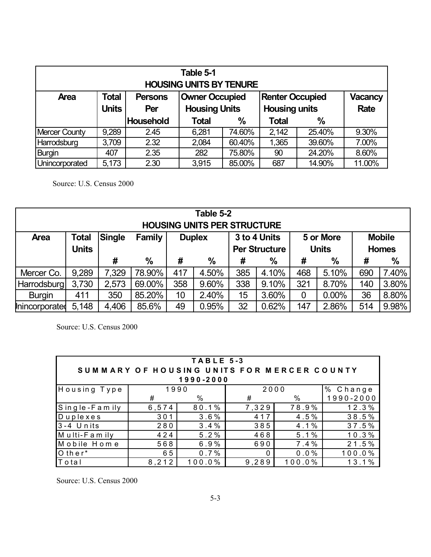| Table 5-1<br><b>HOUSING UNITS BY TENURE</b>                                                                        |              |                  |                                              |               |              |               |             |  |  |
|--------------------------------------------------------------------------------------------------------------------|--------------|------------------|----------------------------------------------|---------------|--------------|---------------|-------------|--|--|
| <b>Total</b><br><b>Owner Occupied</b><br><b>Renter Occupied</b><br><b>Vacancy</b><br><b>Area</b><br><b>Persons</b> |              |                  |                                              |               |              |               |             |  |  |
|                                                                                                                    | <b>Units</b> | Per              | <b>Housing Units</b><br><b>Housing units</b> |               |              |               | <b>Rate</b> |  |  |
|                                                                                                                    |              | <b>Household</b> | <b>Total</b>                                 | $\frac{0}{0}$ | <b>Total</b> | $\frac{0}{0}$ |             |  |  |
| <b>Mercer County</b>                                                                                               | 9,289        | 2.45             | 6,281                                        | 74.60%        | 2,142        | 25.40%        | 9.30%       |  |  |
| Harrodsburg                                                                                                        | 3,709        | 2.32             | 2,084                                        | 60.40%        | 1,365        | 39.60%        | 7.00%       |  |  |
| <b>Burgin</b>                                                                                                      | 407          | 2.35             | 282                                          | 75.80%        | 90           | 24.20%        | 8.60%       |  |  |
| Unincorporated                                                                                                     | 5,173        | 2.30             | 3,915                                        | 85.00%        | 687          | 14.90%        | 11.00%      |  |  |

Source: U.S. Census 2000

| Table 5-2<br><b>HOUSING UNITS PER STRUCTURE</b> |                                                                                                                                                                         |       |        |     |       |     |       |     |               |     |               |
|-------------------------------------------------|-------------------------------------------------------------------------------------------------------------------------------------------------------------------------|-------|--------|-----|-------|-----|-------|-----|---------------|-----|---------------|
| <b>Area</b>                                     | <b>Total</b><br>Single<br>Family<br>3 to 4 Units<br><b>Mobile</b><br>5 or More<br><b>Duplex</b><br><b>Units</b><br><b>Per Structure</b><br><b>Units</b><br><b>Homes</b> |       |        |     |       |     |       |     |               |     |               |
|                                                 |                                                                                                                                                                         | #     | $\%$   | #   | $\%$  | #   | $\%$  | #   | $\frac{0}{0}$ | #   | $\frac{0}{0}$ |
| Mercer Co.                                      | 9,289                                                                                                                                                                   | 7,329 | 78.90% | 417 | 4.50% | 385 | 4.10% | 468 | 5.10%         | 690 | 7.40%         |
| Harrodsburg                                     | 3,730                                                                                                                                                                   | 2,573 | 69.00% | 358 | 9.60% | 338 | 9.10% | 321 | 8.70%         | 140 | 3.80%         |
| <b>Burgin</b>                                   | 411                                                                                                                                                                     | 350   | 85.20% | 10  | 2.40% | 15  | 3.60% | 0   | $0.00\%$      | 36  | 8.80%         |
| Inincorporated                                  | 5,148                                                                                                                                                                   | 4,406 | 85.6%  | 49  | 0.95% | 32  | 0.62% | 147 | 2.86%         | 514 | 9.98%         |

Source: U.S. Census 2000

| TABLE 5-3<br>SUMMARY OF HOUSING UNITS FOR MERCER COUNTY |       |        |       |                |        |  |  |  |  |  |
|---------------------------------------------------------|-------|--------|-------|----------------|--------|--|--|--|--|--|
| 1990-2000                                               |       |        |       |                |        |  |  |  |  |  |
| Housing Type<br>2000<br>1990<br>% Change                |       |        |       |                |        |  |  |  |  |  |
|                                                         | #     | %      | #     | 1990-2000<br>% |        |  |  |  |  |  |
| Single-Family                                           | 6,574 | 80.1%  | 7,329 | 78.9%          | 12.3%  |  |  |  |  |  |
| Duplexes                                                | 301   | 3.6%   | 417   | 4.5%           | 38.5%  |  |  |  |  |  |
| $3 - 4$ Units                                           | 280   | 3.4%   | 385   | 4.1%           | 37.5%  |  |  |  |  |  |
| Multi-Family                                            | 424   | 5.2%   | 468   | 5.1%           | 10.3%  |  |  |  |  |  |
| Mobile Home                                             | 568   | 6.9%   | 690   | 7.4%           | 21.5%  |  |  |  |  |  |
| $O$ ther <sup>*</sup>                                   | 65    | 0.7%   | 0     | 0.0%           | 100.0% |  |  |  |  |  |
| Total                                                   | 8,212 | 100.0% | 9,289 | 100.0%         | 13.1%  |  |  |  |  |  |

Source: U.S. Census 2000